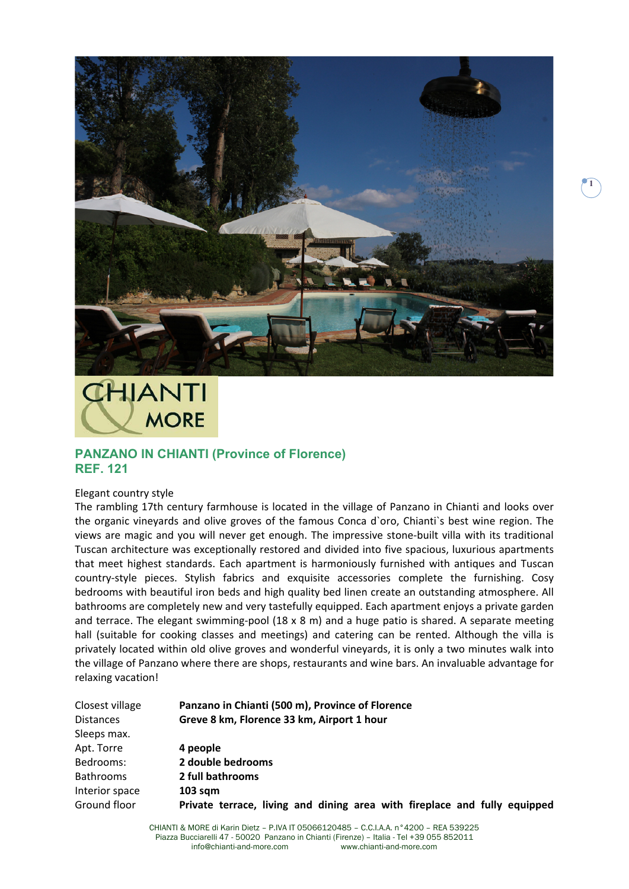

**1**

## *CHIANTI* **MORE**

## **PANZANO IN CHIANTI (Province of Florence) REF. 121**

## Elegant country style

The rambling 17th century farmhouse is located in the village of Panzano in Chianti and looks over the organic vineyards and olive groves of the famous Conca d`oro, Chianti`s best wine region. The views are magic and you will never get enough. The impressive stone-built villa with its traditional Tuscan architecture was exceptionally restored and divided into five spacious, luxurious apartments that meet highest standards. Each apartment is harmoniously furnished with antiques and Tuscan country‐style pieces. Stylish fabrics and exquisite accessories complete the furnishing. Cosy bedrooms with beautiful iron beds and high quality bed linen create an outstanding atmosphere. All bathrooms are completely new and very tastefully equipped. Each apartment enjoys a private garden and terrace. The elegant swimming-pool (18 x 8 m) and a huge patio is shared. A separate meeting hall (suitable for cooking classes and meetings) and catering can be rented. Although the villa is privately located within old olive groves and wonderful vineyards, it is only a two minutes walk into the village of Panzano where there are shops, restaurants and wine bars. An invaluable advantage for relaxing vacation!

| Closest village  | Panzano in Chianti (500 m), Province of Florence                          |
|------------------|---------------------------------------------------------------------------|
| <b>Distances</b> | Greve 8 km, Florence 33 km, Airport 1 hour                                |
| Sleeps max.      |                                                                           |
| Apt. Torre       | 4 people                                                                  |
| Bedrooms:        | 2 double bedrooms                                                         |
| <b>Bathrooms</b> | 2 full bathrooms                                                          |
| Interior space   | $103$ sqm                                                                 |
| Ground floor     | Private terrace, living and dining area with fireplace and fully equipped |